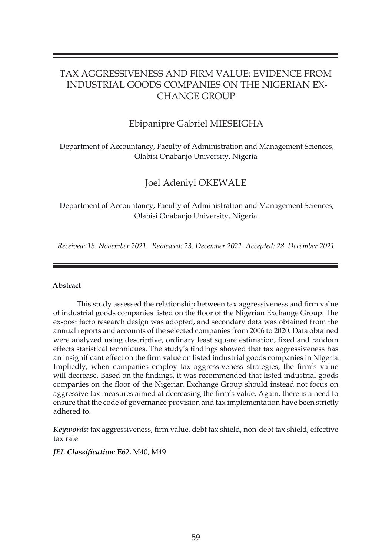# TAX AGGRESSIVENESS AND FIRM VALUE: EVIDENCE FROM INDUSTRIAL GOODS COMPANIES ON THE NIGERIAN EX-CHANGE GROUP

## Ebipanipre Gabriel MIESEIGHA

Department of Accountancy, Faculty of Administration and Management Sciences, Olabisi Onabanjo University, Nigeria

## Joel Adeniyi OKEWALE

Department of Accountancy, Faculty of Administration and Management Sciences, Olabisi Onabanjo University, Nigeria.

*Received: 18. November 2021 Reviewed: 23. December 2021 Accepted: 28. December 2021*

## **Abstract**

 This study assessed the relationship between tax aggressiveness and firm value of industrial goods companies listed on the floor of the Nigerian Exchange Group. The ex-post facto research design was adopted, and secondary data was obtained from the annual reports and accounts of the selected companies from 2006 to 2020. Data obtained were analyzed using descriptive, ordinary least square estimation, fixed and random effects statistical techniques. The study's findings showed that tax aggressiveness has an insignificant effect on the firm value on listed industrial goods companies in Nigeria. Impliedly, when companies employ tax aggressiveness strategies, the firm's value will decrease. Based on the findings, it was recommended that listed industrial goods companies on the floor of the Nigerian Exchange Group should instead not focus on aggressive tax measures aimed at decreasing the firm's value. Again, there is a need to ensure that the code of governance provision and tax implementation have been strictly adhered to.

*Keywords:* tax aggressiveness, firm value, debt tax shield, non-debt tax shield, effective tax rate

*JEL Classification:* E62, M40, M49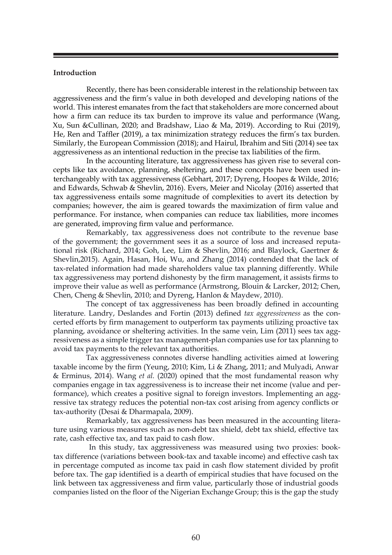## **Introduction**

Recently, there has been considerable interest in the relationship between tax aggressiveness and the firm's value in both developed and developing nations of the world. This interest emanates from the fact that stakeholders are more concerned about how a firm can reduce its tax burden to improve its value and performance (Wang, Xu, Sun &Cullinan, 2020; and Bradshaw, Liao & Ma, 2019). According to Rui (2019), He, Ren and Taffler (2019), a tax minimization strategy reduces the firm's tax burden. Similarly, the European Commission (2018); and Hairul, Ibrahim and Siti (2014) see tax aggressiveness as an intentional reduction in the precise tax liabilities of the firm.

In the accounting literature, tax aggressiveness has given rise to several concepts like tax avoidance, planning, sheltering, and these concepts have been used interchangeably with tax aggressiveness (Gebhart, 2017; Dyreng, Hoopes & Wilde, 2016; and Edwards, Schwab & Shevlin, 2016). Evers, Meier and Nicolay (2016) asserted that tax aggressiveness entails some magnitude of complexities to avert its detection by companies; however, the aim is geared towards the maximization of firm value and performance. For instance, when companies can reduce tax liabilities, more incomes are generated, improving firm value and performance.

Remarkably, tax aggressiveness does not contribute to the revenue base of the government; the government sees it as a source of loss and increased reputational risk (Richard, 2014; Goh, Lee, Lim & Shevlin, 2016; and Blaylock, Gaertner & Shevlin,2015). Again, Hasan, Hoi, Wu, and Zhang (2014) contended that the lack of tax-related information had made shareholders value tax planning differently. While tax aggressiveness may portend dishonesty by the firm management, it assists firms to improve their value as well as performance (Armstrong, Blouin & Larcker, 2012; Chen, Chen, Cheng & Shevlin, 2010; and Dyreng, Hanlon & Maydew, 2010).

The concept of tax aggressiveness has been broadly defined in accounting literature. Landry, Deslandes and Fortin (2013) defined *tax aggressiveness* as the concerted efforts by firm management to outperform tax payments utilizing proactive tax planning, avoidance or sheltering activities. In the same vein, Lim (2011) sees tax aggressiveness as a simple trigger tax management-plan companies use for tax planning to avoid tax payments to the relevant tax authorities.

Tax aggressiveness connotes diverse handling activities aimed at lowering taxable income by the firm (Yeung, 2010; Kim, Li & Zhang, 2011; and Mulyadi, Anwar & Erminus, 2014). Wang *et al.* (2020) opined that the most fundamental reason why companies engage in tax aggressiveness is to increase their net income (value and performance), which creates a positive signal to foreign investors. Implementing an aggressive tax strategy reduces the potential non-tax cost arising from agency conflicts or tax-authority (Desai & Dharmapala, 2009).

Remarkably, tax aggressiveness has been measured in the accounting literature using various measures such as non-debt tax shield, debt tax shield, effective tax rate, cash effective tax, and tax paid to cash flow.

 In this study, tax aggressiveness was measured using two proxies: booktax difference (variations between book-tax and taxable income) and effective cash tax in percentage computed as income tax paid in cash flow statement divided by profit before tax. The gap identified is a dearth of empirical studies that have focused on the link between tax aggressiveness and firm value, particularly those of industrial goods companies listed on the floor of the Nigerian Exchange Group; this is the gap the study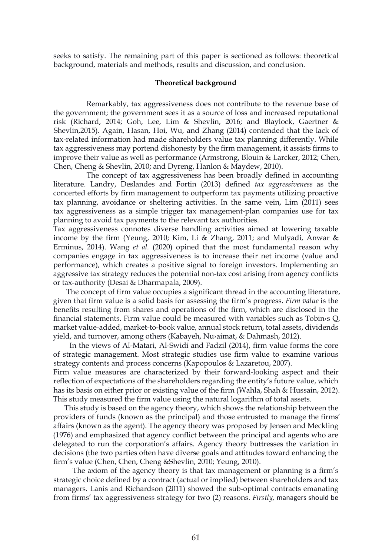seeks to satisfy. The remaining part of this paper is sectioned as follows: theoretical background, materials and methods, results and discussion, and conclusion.

## **Theoretical background**

Remarkably, tax aggressiveness does not contribute to the revenue base of the government; the government sees it as a source of loss and increased reputational risk (Richard, 2014; Goh, Lee, Lim & Shevlin, 2016; and Blaylock, Gaertner & Shevlin,2015). Again, Hasan, Hoi, Wu, and Zhang (2014) contended that the lack of tax-related information had made shareholders value tax planning differently. While tax aggressiveness may portend dishonesty by the firm management, it assists firms to improve their value as well as performance (Armstrong, Blouin & Larcker, 2012; Chen, Chen, Cheng & Shevlin, 2010; and Dyreng, Hanlon & Maydew, 2010).

The concept of tax aggressiveness has been broadly defined in accounting literature. Landry, Deslandes and Fortin (2013) defined *tax aggressiveness* as the concerted efforts by firm management to outperform tax payments utilizing proactive tax planning, avoidance or sheltering activities. In the same vein, Lim (2011) sees tax aggressiveness as a simple trigger tax management-plan companies use for tax planning to avoid tax payments to the relevant tax authorities.

Tax aggressiveness connotes diverse handling activities aimed at lowering taxable income by the firm (Yeung, 2010; Kim, Li & Zhang, 2011; and Mulyadi, Anwar & Erminus, 2014). Wang *et al.* (2020) opined that the most fundamental reason why companies engage in tax aggressiveness is to increase their net income (value and performance), which creates a positive signal to foreign investors. Implementing an aggressive tax strategy reduces the potential non-tax cost arising from agency conflicts or tax-authority (Desai & Dharmapala, 2009).

 The concept of firm value occupies a significant thread in the accounting literature, given that firm value is a solid basis for assessing the firm's progress. *Firm value* is the benefits resulting from shares and operations of the firm, which are disclosed in the financial statements. Firm value could be measured with variables such as  $T^{\text{obin}}$ s O, market value-added, market-to-book value, annual stock return, total assets, dividends yield, and turnover, among others (Kabayeh, Nu›aimat, & Dahmash, 2012).

 In the views of Al-Matari, Al-Swidi and Fadzil (2014), firm value forms the core of strategic management. Most strategic studies use firm value to examine various strategy contents and process concerns (Kapopoulos & Lazaretou, 2007).

Firm value measures are characterized by their forward-looking aspect and their reflection of expectations of the shareholders regarding the entity's future value, which has its basis on either prior or existing value of the firm (Wahla, Shah & Hussain, 2012). This study measured the firm value using the natural logarithm of total assets.

 This study is based on the agency theory, which shows the relationship between the providers of funds (known as the principal) and those entrusted to manage the firms' affairs (known as the agent). The agency theory was proposed by Jensen and Meckling (1976) and emphasized that agency conflict between the principal and agents who are delegated to run the corporation's affairs. Agency theory buttresses the variation in decisions (the two parties often have diverse goals and attitudes toward enhancing the firm's value (Chen, Chen, Cheng &Shevlin, 2010; Yeung, 2010).

 The axiom of the agency theory is that tax management or planning is a firm's strategic choice defined by a contract (actual or implied) between shareholders and tax managers. Lanis and Richardson (2011) showed the sub-optimal contracts emanating from firms' tax aggressiveness strategy for two (2) reasons. *Firstly,* managers should be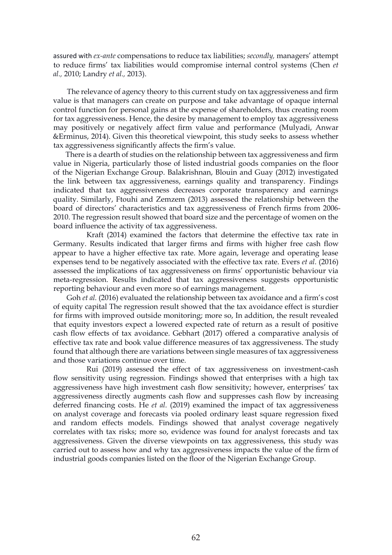assured with *ex-ante* compensations to reduce tax liabilities; *secondly,* managers' attempt to reduce firms' tax liabilities would compromise internal control systems (Chen *et al.,* 2010; Landry *et al.,* 2013).

 The relevance of agency theory to this current study on tax aggressiveness and firm value is that managers can create on purpose and take advantage of opaque internal control function for personal gains at the expense of shareholders, thus creating room for tax aggressiveness. Hence, the desire by management to employ tax aggressiveness may positively or negatively affect firm value and performance (Mulyadi, Anwar &Erminus, 2014). Given this theoretical viewpoint, this study seeks to assess whether tax aggressiveness significantly affects the firm's value.

 There is a dearth of studies on the relationship between tax aggressiveness and firm value in Nigeria, particularly those of listed industrial goods companies on the floor of the Nigerian Exchange Group. Balakrishnan, Blouin and Guay (2012) investigated the link between tax aggressiveness, earnings quality and transparency. Findings indicated that tax aggressiveness decreases corporate transparency and earnings quality. Similarly, Ftouhi and Zemzem (2013) assessed the relationship between the board of directors' characteristics and tax aggressiveness of French firms from 2006- 2010. The regression result showed that board size and the percentage of women on the board influence the activity of tax aggressiveness.

Kraft (2014) examined the factors that determine the effective tax rate in Germany. Results indicated that larger firms and firms with higher free cash flow appear to have a higher effective tax rate. More again, leverage and operating lease expenses tend to be negatively associated with the effective tax rate. Evers *et al.* (2016) assessed the implications of tax aggressiveness on firms' opportunistic behaviour via meta-regression. Results indicated that tax aggressiveness suggests opportunistic reporting behaviour and even more so of earnings management.

 Goh *et al.* (2016) evaluated the relationship between tax avoidance and a firm's cost of equity capital The regression result showed that the tax avoidance effect is sturdier for firms with improved outside monitoring; more so, In addition, the result revealed that equity investors expect a lowered expected rate of return as a result of positive cash flow effects of tax avoidance. Gebhart (2017) offered a comparative analysis of effective tax rate and book value difference measures of tax aggressiveness. The study found that although there are variations between single measures of tax aggressiveness and those variations continue over time.

Rui (2019) assessed the effect of tax aggressiveness on investment-cash flow sensitivity using regression. Findings showed that enterprises with a high tax aggressiveness have high investment cash flow sensitivity; however, enterprises' tax aggressiveness directly augments cash flow and suppresses cash flow by increasing deferred financing costs. He *et al.* (2019) examined the impact of tax aggressiveness on analyst coverage and forecasts via pooled ordinary least square regression fixed and random effects models. Findings showed that analyst coverage negatively correlates with tax risks; more so, evidence was found for analyst forecasts and tax aggressiveness. Given the diverse viewpoints on tax aggressiveness, this study was carried out to assess how and why tax aggressiveness impacts the value of the firm of industrial goods companies listed on the floor of the Nigerian Exchange Group.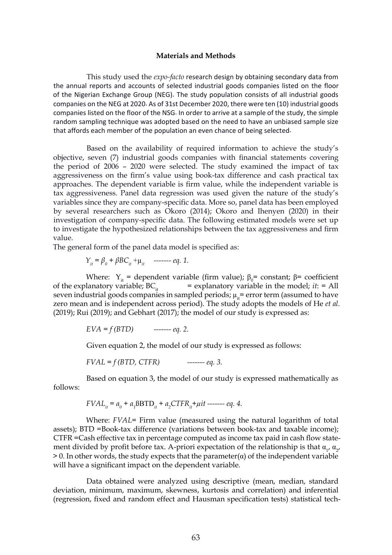#### **Materials and Methods**

 This study used the *expo-facto* research design by obtaining secondary data from the annual reports and accounts of selected industrial goods companies listed on the floor of the Nigerian Exchange Group (NEG). The study population consists of all industrial goods companies on the NEG at 2020. As of 31st December 2020, there were ten (10) industrial goods companies listed on the floor of the NSG. In order to arrive at a sample of the study, the simple random sampling technique was adopted based on the need to have an unbiased sample size that affords each member of the population an even chance of being selected.

 Based on the availability of required information to achieve the study's objective, seven (7) industrial goods companies with financial statements covering the period of 2006 – 2020 were selected. The study examined the impact of tax aggressiveness on the firm's value using book-tax difference and cash practical tax approaches. The dependent variable is firm value, while the independent variable is tax aggressiveness. Panel data regression was used given the nature of the study's variables since they are company-specific data. More so, panel data has been employed by several researchers such as Okoro (2014); Okoro and Ihenyen (2020) in their investigation of company-specific data. The following estimated models were set up to investigate the hypothesized relationships between the tax aggressiveness and firm value.

The general form of the panel data model is specified as:

$$
Y_{it} = \beta_0 + \beta BC_{it} + \mu_{it} \quad \text{---} \text{eq. 1.}
$$

Where:  $Y_{it}$  = dependent variable (firm value);  $\beta_0$  = constant;  $\beta$  = coefficient of the explanatory variable;  $BC_i$  = explanatory variable in the model; *it*: = All seven industrial goods companies in sampled periods;  $\mu_{it}$  = error term (assumed to have zero mean and is independent across period). The study adopts the models of He *et al.*  (2019); Rui (2019); and Gebhart (2017); the model of our study is expressed as:

$$
EVA = f(BTD)
$$
 -----*eq. 2.*

Given equation 2, the model of our study is expressed as follows:

$$
FVAL = f(BTD, CTFR) \qquad \qquad \text{---} \text{eq. 3.}
$$

Based on equation 3, the model of our study is expressed mathematically as follows:

$$
FVAL_{it} = a_0 + a_1 \text{BBTD}_{it} + a_2 \text{CTFR}_{it} + \mu it \text{ ----- } eq. 4.
$$

Where: *FVAL*= Firm value (measured using the natural logarithm of total assets); BTD =Book-tax difference (variations between book-tax and taxable income); CTFR =Cash effective tax in percentage computed as income tax paid in cash flow statement divided by profit before tax. A-priori expectation of the relationship is that  $\alpha_{1'}$ ,  $\alpha_{2'}$  $> 0$ . In other words, the study expects that the parameter( $\alpha$ ) of the independent variable will have a significant impact on the dependent variable.

Data obtained were analyzed using descriptive (mean, median, standard deviation, minimum, maximum, skewness, kurtosis and correlation) and inferential (regression, fixed and random effect and Hausman specification tests) statistical tech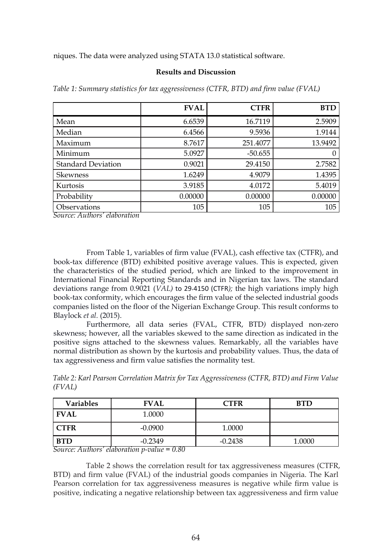niques. The data were analyzed using STATA 13.0 statistical software.

### **Results and Discussion**

|                           | <b>FVAL</b> | <b>CTFR</b> | <b>BTD</b> |
|---------------------------|-------------|-------------|------------|
| Mean                      | 6.6539      | 16.7119     | 2.5909     |
| Median                    | 6.4566      | 9.5936      | 1.9144     |
| Maximum                   | 8.7617      | 251.4077    | 13.9492    |
| Minimum                   | 5.0927      | $-50.655$   | 0          |
| <b>Standard Deviation</b> | 0.9021      | 29.4150     | 2.7582     |
| <b>Skewness</b>           | 1.6249      | 4.9079      | 1.4395     |
| Kurtosis                  | 3.9185      | 4.0172      | 5.4019     |
| Probability               | 0.00000     | 0.00000     | 0.00000    |
| Observations              | 105         | 105         | 105        |

*Table 1: Summary statistics for tax aggressiveness (CTFR, BTD) and firm value (FVAL)*

*Source: Authors' elaboration* 

From Table 1, variables of firm value (FVAL), cash effective tax (CTFR), and book-tax difference (BTD) exhibited positive average values. This is expected, given the characteristics of the studied period, which are linked to the improvement in International Financial Reporting Standards and in Nigerian tax laws. The standard deviations range from 0.9021 (*VAL)* to 29.4150 (CTFR*);* the high variations imply high book-tax conformity, which encourages the firm value of the selected industrial goods companies listed on the floor of the Nigerian Exchange Group. This result conforms to Blaylock *et al.* (2015).

 Furthermore, all data series (FVAL, CTFR, BTD*)* displayed non-zero skewness; however, all the variables skewed to the same direction as indicated in the positive signs attached to the skewness values. Remarkably, all the variables have normal distribution as shown by the kurtosis and probability values. Thus, the data of tax aggressiveness and firm value satisfies the normality test.

| Table 2: Karl Pearson Correlation Matrix for Tax Aggressiveness (CTFR, BTD) and Firm Value |  |  |
|--------------------------------------------------------------------------------------------|--|--|
| (FVAL)                                                                                     |  |  |

| <b>Variables</b> | <b>FVAL</b>                                          | <b>CTFR</b> | <b>BTD</b> |  |
|------------------|------------------------------------------------------|-------------|------------|--|
| FVAL             | 1.0000                                               |             |            |  |
| <b>CTFR</b>      | $-0.0900$                                            | 1.0000      |            |  |
| <b>BTD</b>       | $-0.2349$<br>$\overline{\wedge}$ $\overline{\wedge}$ | $-0.2438$   | 1.0000     |  |

*Source: Authors' elaboration p-value = 0.80*

Table 2 shows the correlation result for tax aggressiveness measures (CTFR, BTD) and firm value (FVAL) of the industrial goods companies in Nigeria. The Karl Pearson correlation for tax aggressiveness measures is negative while firm value is positive, indicating a negative relationship between tax aggressiveness and firm value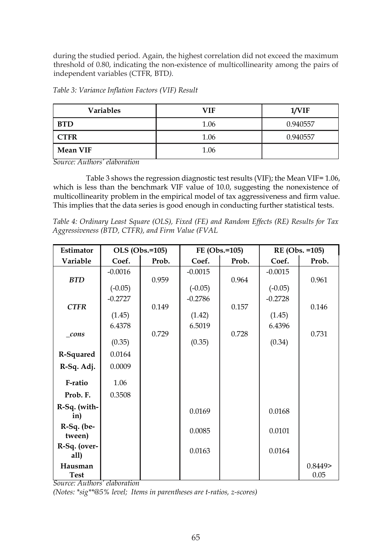during the studied period. Again, the highest correlation did not exceed the maximum threshold of 0.80, indicating the non-existence of multicollinearity among the pairs of independent variables (CTFR*,* BTD*).*

| Table 3: Variance Inflation Factors (VIF) Result |  |  |
|--------------------------------------------------|--|--|
|                                                  |  |  |

| <b>Variables</b> | VIF  | 1/VIF    |
|------------------|------|----------|
| <b>BTD</b>       | 1.06 | 0.940557 |
| CTFR             | 1.06 | 0.940557 |
| <b>Mean VIF</b>  | 1.06 |          |

*Source: Authors' elaboration* 

Table 3 shows the regression diagnostic test results (VIF); the Mean VIF= 1.06, which is less than the benchmark VIF value of 10.0, suggesting the nonexistence of multicollinearity problem in the empirical model of tax aggressiveness and firm value. This implies that the data series is good enough in conducting further statistical tests.

*Table 4: Ordinary Least Square (OLS), Fixed (FE) and Random Effects (RE) Results for Tax Aggressiveness (BTD, CTFR), and Firm Value (FVAL* 

| <b>Estimator</b>       |           | OLS (Obs.=105) | FE (Obs.=105) |       | RE (Obs. = 105) |                |
|------------------------|-----------|----------------|---------------|-------|-----------------|----------------|
| Variable               | Coef.     | Prob.          | Coef.         | Prob. | Coef.           | Prob.          |
|                        | $-0.0016$ |                | $-0.0015$     |       | $-0.0015$       |                |
| <b>BTD</b>             |           | 0.959          |               | 0.964 |                 | 0.961          |
|                        | $(-0.05)$ |                | $(-0.05)$     |       | $(-0.05)$       |                |
|                        | $-0.2727$ |                | $-0.2786$     |       | $-0.2728$       |                |
| <b>CTFR</b>            |           | 0.149          |               | 0.157 |                 | 0.146          |
|                        | (1.45)    |                | (1.42)        |       | (1.45)          |                |
|                        | 6.4378    |                | 6.5019        |       | 6.4396          |                |
| $_{cons}$              | (0.35)    | 0.729          | (0.35)        | 0.728 | (0.34)          | 0.731          |
|                        |           |                |               |       |                 |                |
| R-Squared              | 0.0164    |                |               |       |                 |                |
| R-Sq. Adj.             | 0.0009    |                |               |       |                 |                |
| F-ratio                | 1.06      |                |               |       |                 |                |
| Prob. F.               | 0.3508    |                |               |       |                 |                |
| R-Sq. (with-<br>in)    |           |                | 0.0169        |       | 0.0168          |                |
| $R-Sq.$ (be-<br>tween) |           |                | 0.0085        |       | 0.0101          |                |
| R-Sq. (over-<br>all)   |           |                | 0.0163        |       | 0.0164          |                |
| Hausman<br><b>Test</b> |           |                |               |       |                 | 0.8449<br>0.05 |

*Source: Authors' elaboration*

*(Notes: \*sig\*\*@5% level; Items in parentheses are t-ratios, z-scores)*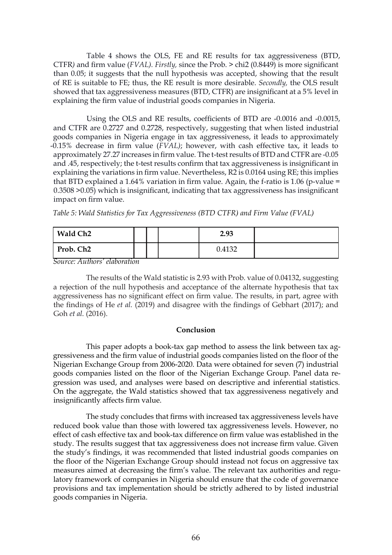Table 4 shows the OLS, FE and RE results for tax aggressiveness (BTD, CTFR*)* and firm value (*FVAL). Firstly,* since the Prob. > chi2 (0.8449) is more significant than 0.05; it suggests that the null hypothesis was accepted, showing that the result of RE is suitable to FE; thus, the RE result is more desirable. *Secondly,* the OLS result showed that tax aggressiveness measures (BTD, CTFR) are insignificant at a 5% level in explaining the firm value of industrial goods companies in Nigeria.

Using the OLS and RE results, coefficients of BTD are -0.0016 and -0.0015, and CTFR are 0.2727 and 0.2728, respectively, suggesting that when listed industrial goods companies in Nigeria engage in tax aggressiveness, it leads to approximately -0.15% decrease in firm value (*FVAL)*; however, with cash effective tax, it leads to approximately 27.27 increases in firm value*.* The t-test results of BTD and CTFR are -0.05 and .45, respectively; the t-test results confirm that tax aggressiveness is insignificant in explaining the variations in firm value. Nevertheless, R2 is 0.0164 using RE; this implies that BTD explained a 1.64% variation in firm value. Again, the f-ratio is 1.06 (p-value  $=$ 0.3508 >0.05) which is insignificant, indicating that tax aggressiveness has insignificant impact on firm value.

| Table 5: Wald Statistics for Tax Aggressiveness (BTD CTFR) and Firm Value (FVAL) |  |  |  |  |  |  |  |
|----------------------------------------------------------------------------------|--|--|--|--|--|--|--|
|----------------------------------------------------------------------------------|--|--|--|--|--|--|--|

| Wald Ch <sub>2</sub> |  | 2.93   |  |
|----------------------|--|--------|--|
| Prob. Ch2            |  | 0.4132 |  |

*Source: Authors' elaboration*

The results of the Wald statistic is 2.93 with Prob. value of 0.04132, suggesting a rejection of the null hypothesis and acceptance of the alternate hypothesis that tax aggressiveness has no significant effect on firm value. The results, in part, agree with the findings of He *et al.* (2019) and disagree with the findings of Gebhart (2017); and Goh *et al.* (2016).

## **Conclusion**

This paper adopts a book-tax gap method to assess the link between tax aggressiveness and the firm value of industrial goods companies listed on the floor of the Nigerian Exchange Group from 2006-2020. Data were obtained for seven (7) industrial goods companies listed on the floor of the Nigerian Exchange Group. Panel data regression was used, and analyses were based on descriptive and inferential statistics. On the aggregate, the Wald statistics showed that tax aggressiveness negatively and insignificantly affects firm value.

The study concludes that firms with increased tax aggressiveness levels have reduced book value than those with lowered tax aggressiveness levels. However, no effect of cash effective tax and book-tax difference on firm value was established in the study. The results suggest that tax aggressiveness does not increase firm value. Given the study's findings, it was recommended that listed industrial goods companies on the floor of the Nigerian Exchange Group should instead not focus on aggressive tax measures aimed at decreasing the firm's value. The relevant tax authorities and regulatory framework of companies in Nigeria should ensure that the code of governance provisions and tax implementation should be strictly adhered to by listed industrial goods companies in Nigeria.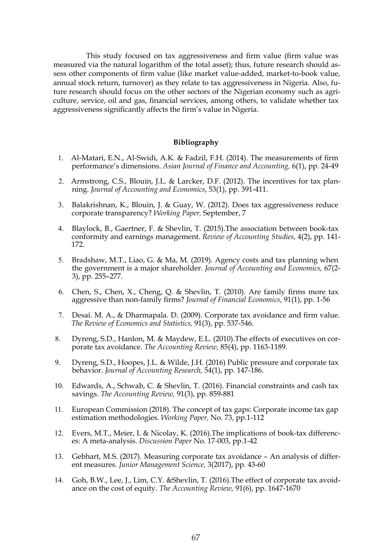This study focused on tax aggressiveness and firm value (firm value was measured via the natural logarithm of the total asset); thus, future research should assess other components of firm value (like market value-added, market-to-book value, annual stock return, turnover) as they relate to tax aggressiveness in Nigeria. Also, future research should focus on the other sectors of the Nigerian economy such as agriculture, service, oil and gas, financial services, among others, to validate whether tax aggressiveness significantly affects the firm's value in Nigeria.

#### **Bibliography**

- 1. Al-Matari, E.N., Al-Swidi, A.K. & Fadzil, F.H. (2014). The measurements of firm performance's dimensions. *Asian Journal of Finance and Accounting,* 6(1), pp. 24-49
- 2. Armstrong, C.S., Blouin, J.L. & Larcker, D.F. (2012). The incentives for tax planning. *Journal of Accounting and Economics*, 53(1), pp. 391-411.
- 3. Balakrishnan, K., Blouin, J. & Guay, W. (2012). Does tax aggressiveness reduce corporate transparency? *Working Paper,* September, 7
- 4. Blaylock, B., Gaertner, F. & Shevlin, T. (2015).The association between book-tax conformity and earnings management. *Review of Accounting Studies*, 4(2), pp. 141- 172.
- 5. Bradshaw, M.T., Liao, G. & Ma, M. (2019). Agency costs and tax planning when the government is a major shareholder. *Journal of Accounting and Economics,* 67(2- 3), pp. 255–277.
- 6. Chen, S., Chen, X., Cheng, Q. & Shevlin, T. (2010). Are family firms more tax aggressive than non-family firms? *Journal of Financial Economics,* 91(1), pp. 1-56
- 7. Desai. M. A., & Dharmapala. D. (2009). Corporate tax avoidance and firm value. *The Review of Economics and Statistics,* 91(3), pp. 537-546.
- 8. Dyreng, S.D., Hanlon, M. & Maydew, E.L. (2010).The effects of executives on corporate tax avoidance. *The Accounting Review,* 85(4), pp. 1163-1189.
- 9. Dyreng, S.D., Hoopes, J.L. & Wilde, J.H. (2016) Public pressure and corporate tax behavior. *Journal of Accounting Research,* 54(1), pp. 147-186.
- 10. Edwards, A., Schwab, C. & Shevlin, T. (2016). Financial constraints and cash tax savings. *The Accounting Review,* 91(3), pp. 859-881
- 11. European Commission (2018). The concept of tax gaps: Corporate income tax gap estimation methodologies. *Working Paper,* No. 73, pp.1-112
- 12. Evers, M.T., Meier, I. & Nicolay, K. (2016).The implications of book-tax differences: A meta-analysis. *Discussion Paper* No. 17-003, pp.1-42
- 13. Gebhart, M.S. (2017). Measuring corporate tax avoidance An analysis of different measures. *Junior Management Science,* 3(2017), pp. 43-60
- 14. Goh, B.W., Lee, J., Lim, C.Y. &Shevlin, T. (2016).The effect of corporate tax avoidance on the cost of equity. *The Accounting Review,* 91(6), pp. 1647-1670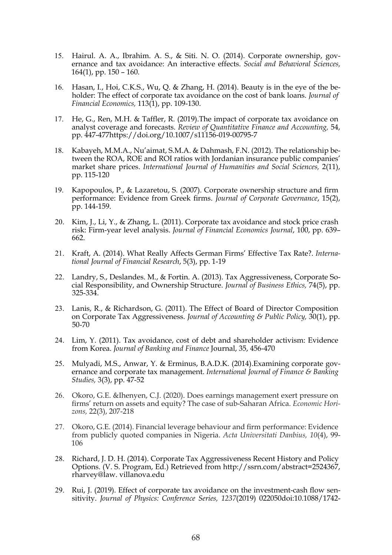- 15. Hairul. A. A., Ibrahim. A. S., & Siti. N. O. (2014). Corporate ownership, governance and tax avoidance: An interactive effects. *Social and Behavioral Sciences,*  164(1), pp. 150 – 160.
- 16. Hasan, I., Hoi, C.K.S., Wu, Q. & Zhang, H. (2014). Beauty is in the eye of the beholder: The effect of corporate tax avoidance on the cost of bank loans. *Journal of Financial Economics,* 113(1), pp. 109-130.
- 17. He, G., Ren, M.H. & Taffler, R. (2019).The impact of corporate tax avoidance on analyst coverage and forecasts. *Review of Quantitative Finance and Accounting,* 54, pp. 447-477https://doi.org/10.1007/s11156-019-00795-7
- 18. Kabayeh, M.M.A., Nu'aimat, S.M.A. & Dahmash, F.N. (2012). The relationship between the ROA, ROE and ROI ratios with Jordanian insurance public companies' market share prices. *International Journal of Humanities and Social Sciences,* 2(11), pp. 115-120
- 19. Kapopoulos, P., & Lazaretou, S. (2007). Corporate ownership structure and firm performance: Evidence from Greek firms. *Journal of Corporate Governance*, 15(2), pp. 144-159.
- 20. Kim, J., Li, Y., & Zhang, L. (2011). Corporate tax avoidance and stock price crash risk: Firm-year level analysis. *Journal of Financial Economics Journal*, 100, pp. 639– 662.
- 21. Kraft, A. (2014). What Really Affects German Firms' Effective Tax Rate?. *International Journal of Financial Research*, 5(3), pp. 1-19
- 22. Landry, S., Deslandes. M., & Fortin. A. (2013). Tax Aggressiveness, Corporate Social Responsibility, and Ownership Structure. *Journal of Business Ethics,* 74(5), pp. 325-334.
- 23. Lanis, R., & Richardson, G. (2011). The Effect of Board of Director Composition on Corporate Tax Aggressiveness. *Journal of Accounting & Public Policy,* 30(1), pp. 50-70
- 24. Lim, Y. (2011). Tax avoidance, cost of debt and shareholder activism: Evidence from Korea. *Journal of Banking and Finance* Journal, 35, 456-470
- 25. Mulyadi, M.S., Anwar, Y. & Erminus, B.A.D.K. (2014).Examining corporate governance and corporate tax management. *International Journal of Finance & Banking Studies,* 3(3), pp. 47-52
- 26. Okoro, G.E. &Ihenyen, C.J. (2020). Does earnings management exert pressure on firms' return on assets and equity? The case of sub-Saharan Africa. *Economic Horizons,* 22(3), 207-218
- 27. Okoro, G.E. (2014). Financial leverage behaviour and firm performance: Evidence from publicly quoted companies in Nigeria. *Acta Universitati Danbius, 10*(4), 99- 106
- 28. Richard, J. D. H. (2014). Corporate Tax Aggressiveness Recent History and Policy Options. (V. S. Program, Ed.) Retrieved from http://ssrn.com/abstract=2524367, rharvey@law. villanova.edu
- 29. Rui, J. (2019). Effect of corporate tax avoidance on the investment-cash flow sensitivity. *Journal of Physics: Conference Series, 1237*(2019) 022050doi:10.1088/1742-